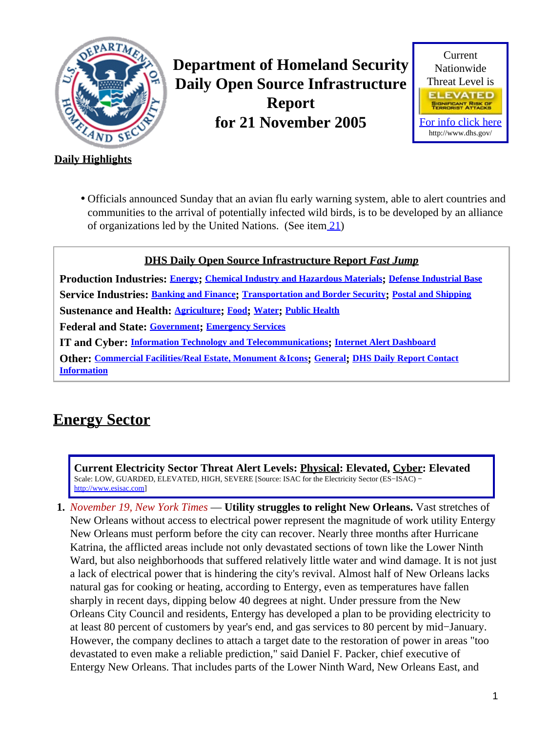<span id="page-0-1"></span>

**Department of Homeland Security Daily Open Source Infrastructure Report for 21 November 2005**



### **Daily Highlights**

Officials announced Sunday that an avian flu early warning system, able to alert countries and • communities to the arrival of potentially infected wild birds, is to be developed by an alliance of organizations led by the United Nations. (See item [21](#page-7-0))

### **DHS Daily Open Source Infrastructure Report** *Fast Jump*

**Production Industries: [Energy](#page-0-0); [Chemical Industry and Hazardous Materials](#page-1-0); [Defense Industrial Base](#page-1-1) Service Industries: [Banking and Finance](#page-2-0); [Transportation and Border Security](#page-3-0); [Postal and Shipping](#page-4-0) Sustenance and Health: [Agriculture](#page-4-1); [Food](#page-6-0); [Water](#page-6-1); [Public Health](#page-7-1) Federal and State: [Government](#page-9-0); [Emergency Services](#page-9-1) IT and Cyber: [Information Technology and Telecommunications](#page-11-0); [Internet Alert Dashboard](#page-12-0) Other: [Commercial Facilities/Real Estate, Monument &Icons](#page-14-0); [General](#page-14-1); [DHS Daily Report Contact](#page-14-2) [Information](#page-14-2)**

### <span id="page-0-0"></span>**Energy Sector**

**Current Electricity Sector Threat Alert Levels: Physical: Elevated, Cyber: Elevated** Scale: LOW, GUARDED, ELEVATED, HIGH, SEVERE [Source: ISAC for the Electricity Sector (ES−ISAC) − [http://www.esisac.com](http://esisac.com)]

**1.** *November 19, New York Times* — **Utility struggles to relight New Orleans.** Vast stretches of New Orleans without access to electrical power represent the magnitude of work utility Entergy New Orleans must perform before the city can recover. Nearly three months after Hurricane Katrina, the afflicted areas include not only devastated sections of town like the Lower Ninth Ward, but also neighborhoods that suffered relatively little water and wind damage. It is not just a lack of electrical power that is hindering the city's revival. Almost half of New Orleans lacks natural gas for cooking or heating, according to Entergy, even as temperatures have fallen sharply in recent days, dipping below 40 degrees at night. Under pressure from the New Orleans City Council and residents, Entergy has developed a plan to be providing electricity to at least 80 percent of customers by year's end, and gas services to 80 percent by mid−January. However, the company declines to attach a target date to the restoration of power in areas "too devastated to even make a reliable prediction," said Daniel F. Packer, chief executive of Entergy New Orleans. That includes parts of the Lower Ninth Ward, New Orleans East, and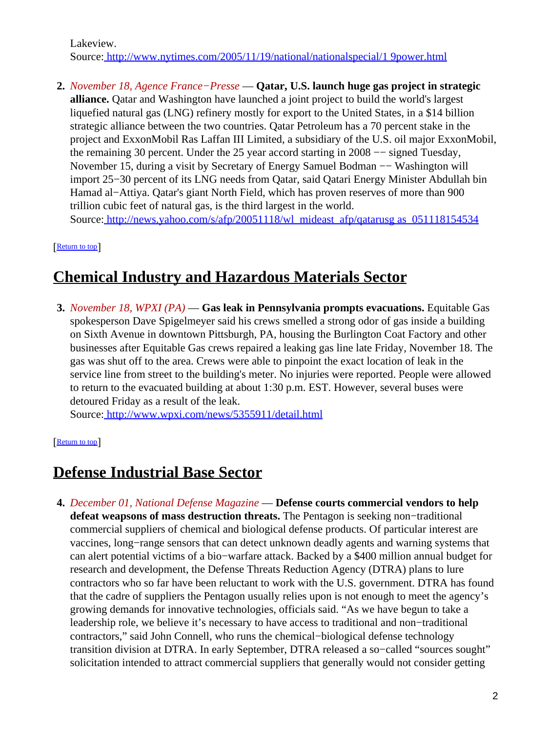Lakeview. Source[: http://www.nytimes.com/2005/11/19/national/nationalspecial/1 9power.html](http://www.nytimes.com/2005/11/19/national/nationalspecial/19power.html)

**2.** *November 18, Agence France−Presse* — **Qatar, U.S. launch huge gas project in strategic alliance.** Qatar and Washington have launched a joint project to build the world's largest liquefied natural gas (LNG) refinery mostly for export to the United States, in a \$14 billion strategic alliance between the two countries. Qatar Petroleum has a 70 percent stake in the project and ExxonMobil Ras Laffan III Limited, a subsidiary of the U.S. oil major ExxonMobil, the remaining 30 percent. Under the 25 year accord starting in 2008 −− signed Tuesday, November 15, during a visit by Secretary of Energy Samuel Bodman −− Washington will import 25−30 percent of its LNG needs from Qatar, said Qatari Energy Minister Abdullah bin Hamad al−Attiya. Qatar's giant North Field, which has proven reserves of more than 900 trillion cubic feet of natural gas, is the third largest in the world. Source[: http://news.yahoo.com/s/afp/20051118/wl\\_mideast\\_afp/qatarusg as\\_051118154534](http://news.yahoo.com/s/afp/20051118/wl_mideast_afp/qatarusgas_051118154534)

[[Return to top](#page-0-1)]

# <span id="page-1-0"></span>**Chemical Industry and Hazardous Materials Sector**

**3.** *November 18, WPXI (PA)* — **Gas leak in Pennsylvania prompts evacuations.** Equitable Gas spokesperson Dave Spigelmeyer said his crews smelled a strong odor of gas inside a building on Sixth Avenue in downtown Pittsburgh, PA, housing the Burlington Coat Factory and other businesses after Equitable Gas crews repaired a leaking gas line late Friday, November 18. The gas was shut off to the area. Crews were able to pinpoint the exact location of leak in the service line from street to the building's meter. No injuries were reported. People were allowed to return to the evacuated building at about 1:30 p.m. EST. However, several buses were detoured Friday as a result of the leak.

Source[: http://www.wpxi.com/news/5355911/detail.html](http://www.wpxi.com/news/5355911/detail.html)

[[Return to top](#page-0-1)]

### <span id="page-1-1"></span>**Defense Industrial Base Sector**

**4.** *December 01, National Defense Magazine* — **Defense courts commercial vendors to help defeat weapsons of mass destruction threats.** The Pentagon is seeking non−traditional commercial suppliers of chemical and biological defense products. Of particular interest are vaccines, long−range sensors that can detect unknown deadly agents and warning systems that can alert potential victims of a bio−warfare attack. Backed by a \$400 million annual budget for research and development, the Defense Threats Reduction Agency (DTRA) plans to lure contractors who so far have been reluctant to work with the U.S. government. DTRA has found that the cadre of suppliers the Pentagon usually relies upon is not enough to meet the agency's growing demands for innovative technologies, officials said. "As we have begun to take a leadership role, we believe it's necessary to have access to traditional and non−traditional contractors," said John Connell, who runs the chemical−biological defense technology transition division at DTRA. In early September, DTRA released a so−called "sources sought" solicitation intended to attract commercial suppliers that generally would not consider getting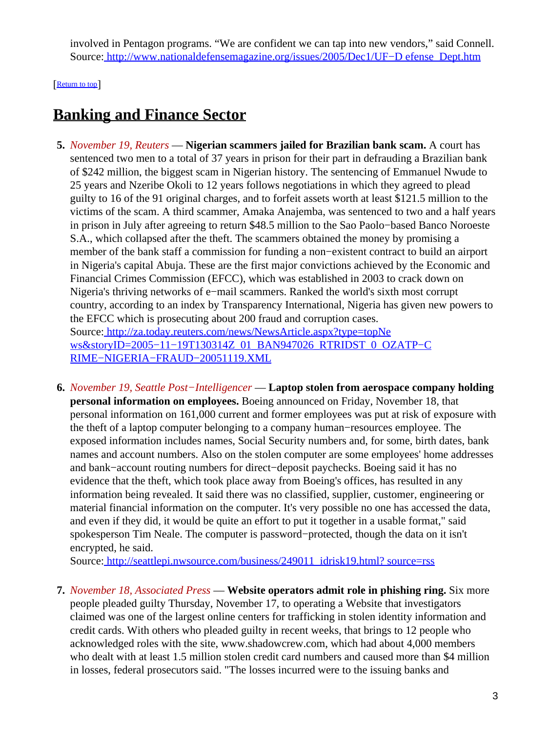involved in Pentagon programs. "We are confident we can tap into new vendors," said Connell. Source[: http://www.nationaldefensemagazine.org/issues/2005/Dec1/UF−D efense\\_Dept.htm](http://www.nationaldefensemagazine.org/issues/2005/Dec1/UF-Defense_Dept.htm)

[[Return to top](#page-0-1)]

# <span id="page-2-0"></span>**Banking and Finance Sector**

- **5.** *November 19, Reuters* — **Nigerian scammers jailed for Brazilian bank scam.** A court has sentenced two men to a total of 37 years in prison for their part in defrauding a Brazilian bank of \$242 million, the biggest scam in Nigerian history. The sentencing of Emmanuel Nwude to 25 years and Nzeribe Okoli to 12 years follows negotiations in which they agreed to plead guilty to 16 of the 91 original charges, and to forfeit assets worth at least \$121.5 million to the victims of the scam. A third scammer, Amaka Anajemba, was sentenced to two and a half years in prison in July after agreeing to return \$48.5 million to the Sao Paolo−based Banco Noroeste S.A., which collapsed after the theft. The scammers obtained the money by promising a member of the bank staff a commission for funding a non−existent contract to build an airport in Nigeria's capital Abuja. These are the first major convictions achieved by the Economic and Financial Crimes Commission (EFCC), which was established in 2003 to crack down on Nigeria's thriving networks of e−mail scammers. Ranked the world's sixth most corrupt country, according to an index by Transparency International, Nigeria has given new powers to the EFCC which is prosecuting about 200 fraud and corruption cases. Source[: http://za.today.reuters.com/news/NewsArticle.aspx?type=topNe](http://za.today.reuters.com/news/NewsArticle.aspx?type=topNews&storyID=2005-11-19T130314Z_01_BAN947026_RTRIDST_0_OZATP-CRIME-NIGERIA-FRAUD-20051119.XML) ws&storyID=2005-11-19T130314Z\_01\_BAN947026\_RTRIDST\_0\_OZATP-C [RIME−NIGERIA−FRAUD−20051119.XML](http://za.today.reuters.com/news/NewsArticle.aspx?type=topNews&storyID=2005-11-19T130314Z_01_BAN947026_RTRIDST_0_OZATP-CRIME-NIGERIA-FRAUD-20051119.XML)
- **6.** *November 19, Seattle Post−Intelligencer* — **Laptop stolen from aerospace company holding personal information on employees.** Boeing announced on Friday, November 18, that personal information on 161,000 current and former employees was put at risk of exposure with the theft of a laptop computer belonging to a company human−resources employee. The exposed information includes names, Social Security numbers and, for some, birth dates, bank names and account numbers. Also on the stolen computer are some employees' home addresses and bank−account routing numbers for direct−deposit paychecks. Boeing said it has no evidence that the theft, which took place away from Boeing's offices, has resulted in any information being revealed. It said there was no classified, supplier, customer, engineering or material financial information on the computer. It's very possible no one has accessed the data, and even if they did, it would be quite an effort to put it together in a usable format," said spokesperson Tim Neale. The computer is password−protected, though the data on it isn't encrypted, he said.

Source[: http://seattlepi.nwsource.com/business/249011\\_idrisk19.html? source=rss](http://seattlepi.nwsource.com/business/249011_idrisk19.html?source=rss)

**7.** *November 18, Associated Press* — **Website operators admit role in phishing ring.** Six more people pleaded guilty Thursday, November 17, to operating a Website that investigators claimed was one of the largest online centers for trafficking in stolen identity information and credit cards. With others who pleaded guilty in recent weeks, that brings to 12 people who acknowledged roles with the site, www.shadowcrew.com, which had about 4,000 members who dealt with at least 1.5 million stolen credit card numbers and caused more than \$4 million in losses, federal prosecutors said. "The losses incurred were to the issuing banks and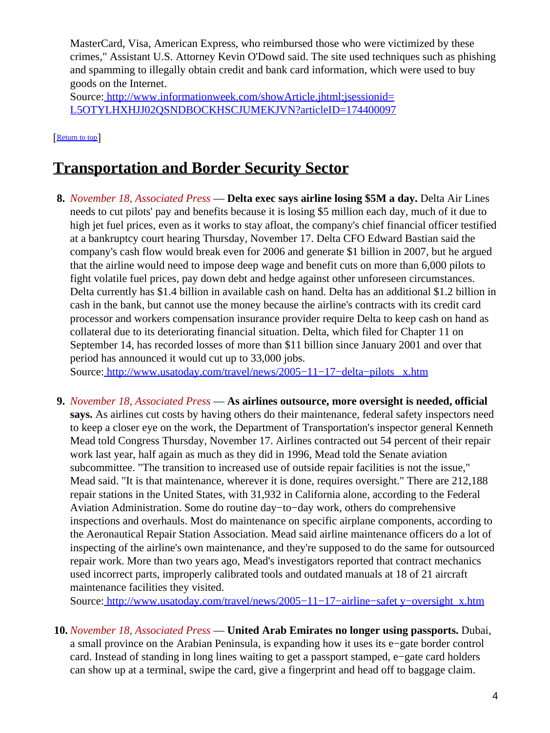MasterCard, Visa, American Express, who reimbursed those who were victimized by these crimes," Assistant U.S. Attorney Kevin O'Dowd said. The site used techniques such as phishing and spamming to illegally obtain credit and bank card information, which were used to buy goods on the Internet.

Source[: http://www.informationweek.com/showArticle.jhtml;jsessionid=](http://www.informationweek.com/showArticle.jhtml;jsessionid=L5OTYLHXHJJ02QSNDBOCKHSCJUMEKJVN?articleID=174400097) [L5OTYLHXHJJ02QSNDBOCKHSCJUMEKJVN?articleID=174400097](http://www.informationweek.com/showArticle.jhtml;jsessionid=L5OTYLHXHJJ02QSNDBOCKHSCJUMEKJVN?articleID=174400097)

[[Return to top](#page-0-1)]

# <span id="page-3-0"></span>**Transportation and Border Security Sector**

**8.** *November 18, Associated Press* — **Delta exec says airline losing \$5M a day.** Delta Air Lines needs to cut pilots' pay and benefits because it is losing \$5 million each day, much of it due to high jet fuel prices, even as it works to stay afloat, the company's chief financial officer testified at a bankruptcy court hearing Thursday, November 17. Delta CFO Edward Bastian said the company's cash flow would break even for 2006 and generate \$1 billion in 2007, but he argued that the airline would need to impose deep wage and benefit cuts on more than 6,000 pilots to fight volatile fuel prices, pay down debt and hedge against other unforeseen circumstances. Delta currently has \$1.4 billion in available cash on hand. Delta has an additional \$1.2 billion in cash in the bank, but cannot use the money because the airline's contracts with its credit card processor and workers compensation insurance provider require Delta to keep cash on hand as collateral due to its deteriorating financial situation. Delta, which filed for Chapter 11 on September 14, has recorded losses of more than \$11 billion since January 2001 and over that period has announced it would cut up to 33,000 jobs.

Source[: http://www.usatoday.com/travel/news/2005−11−17−delta−pilots\\_ x.htm](http://www.usatoday.com/travel/news/2005-11-17-delta-pilots_x.htm)

**9.** *November 18, Associated Press* — **As airlines outsource, more oversight is needed, official says.** As airlines cut costs by having others do their maintenance, federal safety inspectors need to keep a closer eye on the work, the Department of Transportation's inspector general Kenneth Mead told Congress Thursday, November 17. Airlines contracted out 54 percent of their repair work last year, half again as much as they did in 1996, Mead told the Senate aviation subcommittee. "The transition to increased use of outside repair facilities is not the issue," Mead said. "It is that maintenance, wherever it is done, requires oversight." There are 212,188 repair stations in the United States, with 31,932 in California alone, according to the Federal Aviation Administration. Some do routine day−to−day work, others do comprehensive inspections and overhauls. Most do maintenance on specific airplane components, according to the Aeronautical Repair Station Association. Mead said airline maintenance officers do a lot of inspecting of the airline's own maintenance, and they're supposed to do the same for outsourced repair work. More than two years ago, Mead's investigators reported that contract mechanics used incorrect parts, improperly calibrated tools and outdated manuals at 18 of 21 aircraft maintenance facilities they visited.

Source[: http://www.usatoday.com/travel/news/2005−11−17−airline−safet y−oversight\\_x.htm](http://www.usatoday.com/travel/news/2005-11-17-airline-safety-oversight_x.htm)

**10.** *November 18, Associated Press* — **United Arab Emirates no longer using passports.** Dubai, a small province on the Arabian Peninsula, is expanding how it uses its e−gate border control card. Instead of standing in long lines waiting to get a passport stamped, e−gate card holders can show up at a terminal, swipe the card, give a fingerprint and head off to baggage claim.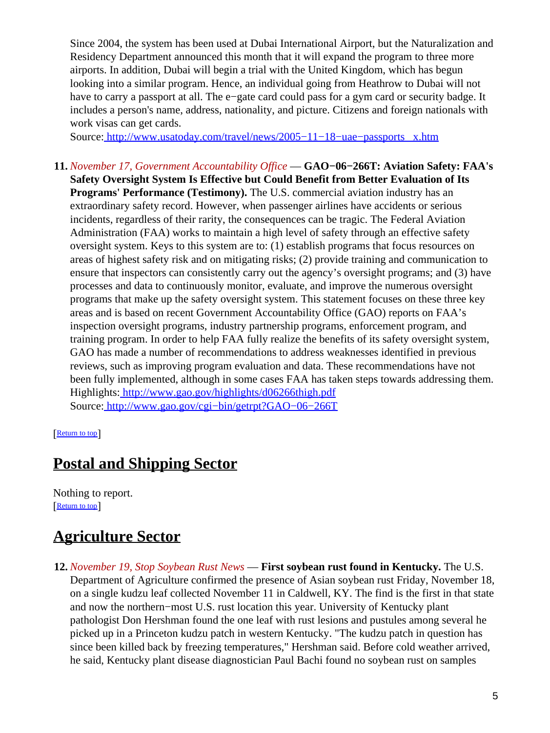Since 2004, the system has been used at Dubai International Airport, but the Naturalization and Residency Department announced this month that it will expand the program to three more airports. In addition, Dubai will begin a trial with the United Kingdom, which has begun looking into a similar program. Hence, an individual going from Heathrow to Dubai will not have to carry a passport at all. The e−gate card could pass for a gym card or security badge. It includes a person's name, address, nationality, and picture. Citizens and foreign nationals with work visas can get cards.

Source[: http://www.usatoday.com/travel/news/2005−11−18−uae−passports \\_x.htm](http://www.usatoday.com/travel/news/2005-11-18-uae-passports_x.htm)

**11.** *November 17, Government Accountability Office* — **GAO−06−266T: Aviation Safety: FAA's Safety Oversight System Is Effective but Could Benefit from Better Evaluation of Its Programs' Performance (Testimony).** The U.S. commercial aviation industry has an extraordinary safety record. However, when passenger airlines have accidents or serious incidents, regardless of their rarity, the consequences can be tragic. The Federal Aviation Administration (FAA) works to maintain a high level of safety through an effective safety oversight system. Keys to this system are to: (1) establish programs that focus resources on areas of highest safety risk and on mitigating risks; (2) provide training and communication to ensure that inspectors can consistently carry out the agency's oversight programs; and (3) have processes and data to continuously monitor, evaluate, and improve the numerous oversight programs that make up the safety oversight system. This statement focuses on these three key areas and is based on recent Government Accountability Office (GAO) reports on FAA's inspection oversight programs, industry partnership programs, enforcement program, and training program. In order to help FAA fully realize the benefits of its safety oversight system, GAO has made a number of recommendations to address weaknesses identified in previous reviews, such as improving program evaluation and data. These recommendations have not been fully implemented, although in some cases FAA has taken steps towards addressing them. Highlights:<http://www.gao.gov/highlights/d06266thigh.pdf> Source[: http://www.gao.gov/cgi−bin/getrpt?GAO−06−266T](http://www.gao.gov/cgi-bin/getrpt?GAO-06-266T)

[[Return to top](#page-0-1)]

### <span id="page-4-0"></span>**Postal and Shipping Sector**

Nothing to report. [[Return to top](#page-0-1)]

# <span id="page-4-1"></span>**Agriculture Sector**

**12.** *November 19, Stop Soybean Rust News* — **First soybean rust found in Kentucky.** The U.S. Department of Agriculture confirmed the presence of Asian soybean rust Friday, November 18, on a single kudzu leaf collected November 11 in Caldwell, KY. The find is the first in that state and now the northern−most U.S. rust location this year. University of Kentucky plant pathologist Don Hershman found the one leaf with rust lesions and pustules among several he picked up in a Princeton kudzu patch in western Kentucky. "The kudzu patch in question has since been killed back by freezing temperatures," Hershman said. Before cold weather arrived, he said, Kentucky plant disease diagnostician Paul Bachi found no soybean rust on samples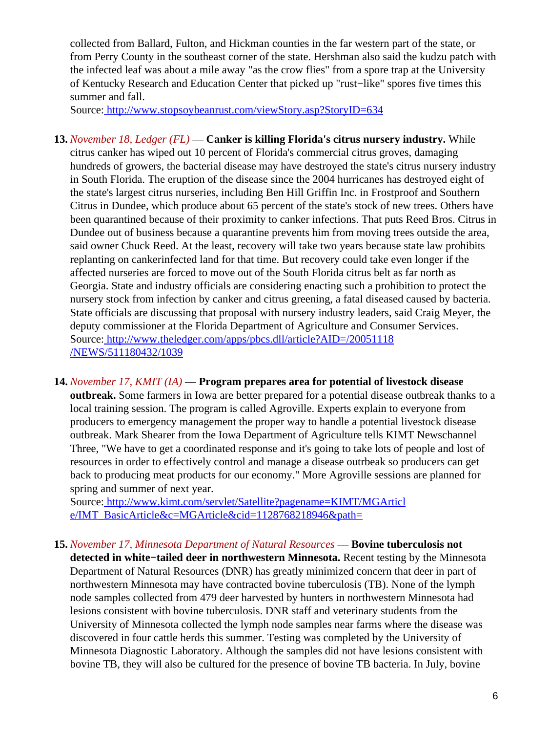collected from Ballard, Fulton, and Hickman counties in the far western part of the state, or from Perry County in the southeast corner of the state. Hershman also said the kudzu patch with the infected leaf was about a mile away "as the crow flies" from a spore trap at the University of Kentucky Research and Education Center that picked up "rust−like" spores five times this summer and fall.

Source[: http://www.stopsoybeanrust.com/viewStory.asp?StoryID=634](http://www.stopsoybeanrust.com/viewStory.asp?StoryID=634)

- **13.** *November 18, Ledger (FL)* — **Canker is killing Florida's citrus nursery industry.** While citrus canker has wiped out 10 percent of Florida's commercial citrus groves, damaging hundreds of growers, the bacterial disease may have destroyed the state's citrus nursery industry in South Florida. The eruption of the disease since the 2004 hurricanes has destroyed eight of the state's largest citrus nurseries, including Ben Hill Griffin Inc. in Frostproof and Southern Citrus in Dundee, which produce about 65 percent of the state's stock of new trees. Others have been quarantined because of their proximity to canker infections. That puts Reed Bros. Citrus in Dundee out of business because a quarantine prevents him from moving trees outside the area, said owner Chuck Reed. At the least, recovery will take two years because state law prohibits replanting on cankerinfected land for that time. But recovery could take even longer if the affected nurseries are forced to move out of the South Florida citrus belt as far north as Georgia. State and industry officials are considering enacting such a prohibition to protect the nursery stock from infection by canker and citrus greening, a fatal diseased caused by bacteria. State officials are discussing that proposal with nursery industry leaders, said Craig Meyer, the deputy commissioner at the Florida Department of Agriculture and Consumer Services. Source[: http://www.theledger.com/apps/pbcs.dll/article?AID=/20051118](http://www.theledger.com/apps/pbcs.dll/article?AID=/20051118/NEWS/511180432/1039) [/NEWS/511180432/1039](http://www.theledger.com/apps/pbcs.dll/article?AID=/20051118/NEWS/511180432/1039)
- **14.** *November 17, KMIT (IA)* — **Program prepares area for potential of livestock disease outbreak.** Some farmers in Iowa are better prepared for a potential disease outbreak thanks to a local training session. The program is called Agroville. Experts explain to everyone from producers to emergency management the proper way to handle a potential livestock disease outbreak. Mark Shearer from the Iowa Department of Agriculture tells KIMT Newschannel Three, "We have to get a coordinated response and it's going to take lots of people and lost of resources in order to effectively control and manage a disease outrbeak so producers can get back to producing meat products for our economy." More Agroville sessions are planned for spring and summer of next year.

Source[: http://www.kimt.com/servlet/Satellite?pagename=KIMT/MGArticl](http://www.kimt.com/servlet/Satellite?pagename=KIMT/MGArticle/IMT_BasicArticle&c=MGArticle&cid=1128768218946&path=) [e/IMT\\_BasicArticle&c=MGArticle&cid=1128768218946&path=](http://www.kimt.com/servlet/Satellite?pagename=KIMT/MGArticle/IMT_BasicArticle&c=MGArticle&cid=1128768218946&path=)

**15.** *November 17, Minnesota Department of Natural Resources* — **Bovine tuberculosis not detected in white−tailed deer in northwestern Minnesota.** Recent testing by the Minnesota Department of Natural Resources (DNR) has greatly minimized concern that deer in part of northwestern Minnesota may have contracted bovine tuberculosis (TB). None of the lymph node samples collected from 479 deer harvested by hunters in northwestern Minnesota had lesions consistent with bovine tuberculosis. DNR staff and veterinary students from the University of Minnesota collected the lymph node samples near farms where the disease was discovered in four cattle herds this summer. Testing was completed by the University of Minnesota Diagnostic Laboratory. Although the samples did not have lesions consistent with bovine TB, they will also be cultured for the presence of bovine TB bacteria. In July, bovine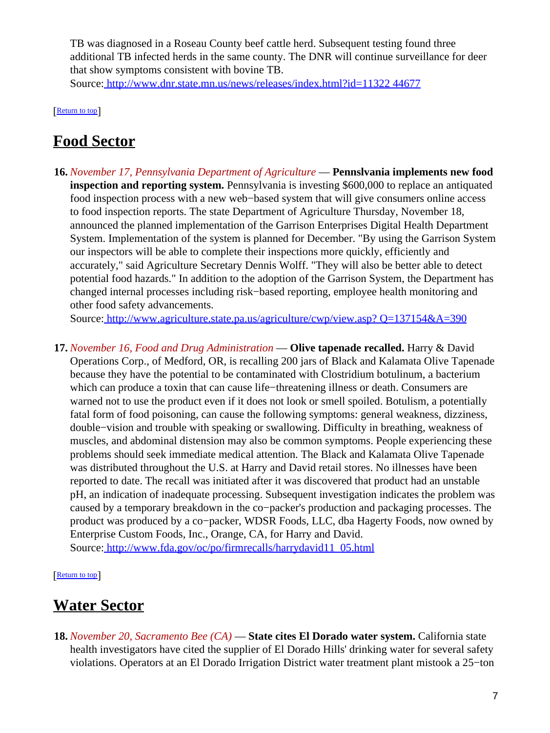TB was diagnosed in a Roseau County beef cattle herd. Subsequent testing found three additional TB infected herds in the same county. The DNR will continue surveillance for deer that show symptoms consistent with bovine TB.

Source[: http://www.dnr.state.mn.us/news/releases/index.html?id=11322 44677](http://www.dnr.state.mn.us/news/releases/index.html?id=1132244677)

[[Return to top](#page-0-1)]

### <span id="page-6-0"></span>**Food Sector**

**16.** *November 17, Pennsylvania Department of Agriculture* — **Pennslvania implements new food inspection and reporting system.** Pennsylvania is investing \$600,000 to replace an antiquated food inspection process with a new web−based system that will give consumers online access to food inspection reports. The state Department of Agriculture Thursday, November 18, announced the planned implementation of the Garrison Enterprises Digital Health Department System. Implementation of the system is planned for December. "By using the Garrison System our inspectors will be able to complete their inspections more quickly, efficiently and accurately," said Agriculture Secretary Dennis Wolff. "They will also be better able to detect potential food hazards." In addition to the adoption of the Garrison System, the Department has changed internal processes including risk−based reporting, employee health monitoring and other food safety advancements.

Source[: http://www.agriculture.state.pa.us/agriculture/cwp/view.asp? Q=137154&A=390](http://www.agriculture.state.pa.us/agriculture/cwp/view.asp?Q=137154&A=390)

**17.** *November 16, Food and Drug Administration* — **Olive tapenade recalled.** Harry & David Operations Corp., of Medford, OR, is recalling 200 jars of Black and Kalamata Olive Tapenade because they have the potential to be contaminated with Clostridium botulinum, a bacterium which can produce a toxin that can cause life−threatening illness or death. Consumers are warned not to use the product even if it does not look or smell spoiled. Botulism, a potentially fatal form of food poisoning, can cause the following symptoms: general weakness, dizziness, double−vision and trouble with speaking or swallowing. Difficulty in breathing, weakness of muscles, and abdominal distension may also be common symptoms. People experiencing these problems should seek immediate medical attention. The Black and Kalamata Olive Tapenade was distributed throughout the U.S. at Harry and David retail stores. No illnesses have been reported to date. The recall was initiated after it was discovered that product had an unstable pH, an indication of inadequate processing. Subsequent investigation indicates the problem was caused by a temporary breakdown in the co−packer's production and packaging processes. The product was produced by a co−packer, WDSR Foods, LLC, dba Hagerty Foods, now owned by Enterprise Custom Foods, Inc., Orange, CA, for Harry and David. Source[: http://www.fda.gov/oc/po/firmrecalls/harrydavid11\\_05.html](http://www.fda.gov/oc/po/firmrecalls/harrydavid11_05.html)

[[Return to top](#page-0-1)]

# <span id="page-6-1"></span>**Water Sector**

**18.** *November 20, Sacramento Bee (CA)* — **State cites El Dorado water system.** California state health investigators have cited the supplier of El Dorado Hills' drinking water for several safety violations. Operators at an El Dorado Irrigation District water treatment plant mistook a 25−ton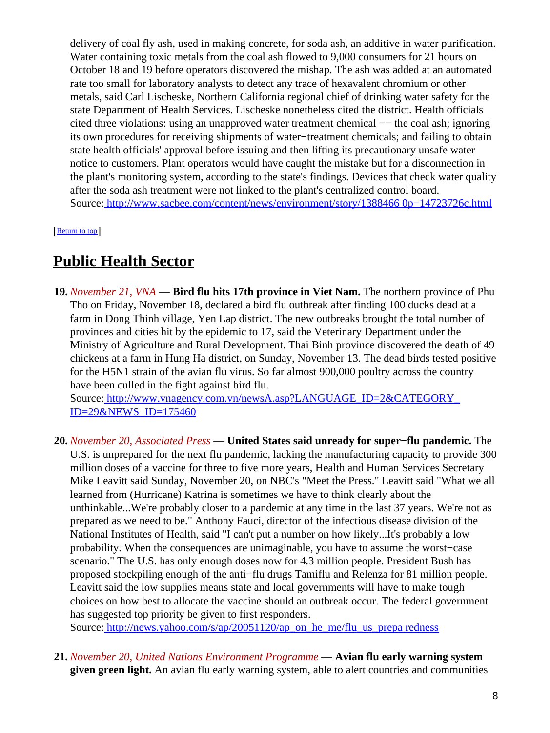delivery of coal fly ash, used in making concrete, for soda ash, an additive in water purification. Water containing toxic metals from the coal ash flowed to 9,000 consumers for 21 hours on October 18 and 19 before operators discovered the mishap. The ash was added at an automated rate too small for laboratory analysts to detect any trace of hexavalent chromium or other metals, said Carl Lischeske, Northern California regional chief of drinking water safety for the state Department of Health Services. Lischeske nonetheless cited the district. Health officials cited three violations: using an unapproved water treatment chemical −− the coal ash; ignoring its own procedures for receiving shipments of water−treatment chemicals; and failing to obtain state health officials' approval before issuing and then lifting its precautionary unsafe water notice to customers. Plant operators would have caught the mistake but for a disconnection in the plant's monitoring system, according to the state's findings. Devices that check water quality after the soda ash treatment were not linked to the plant's centralized control board. Source[: http://www.sacbee.com/content/news/environment/story/1388466 0p−14723726c.html](http://www.sacbee.com/content/news/environment/story/13884660p-14723726c.html)

[[Return to top](#page-0-1)]

### <span id="page-7-1"></span>**Public Health Sector**

**19.** *November 21, VNA* — **Bird flu hits 17th province in Viet Nam.** The northern province of Phu Tho on Friday, November 18, declared a bird flu outbreak after finding 100 ducks dead at a farm in Dong Thinh village, Yen Lap district. The new outbreaks brought the total number of provinces and cities hit by the epidemic to 17, said the Veterinary Department under the Ministry of Agriculture and Rural Development. Thai Binh province discovered the death of 49 chickens at a farm in Hung Ha district, on Sunday, November 13. The dead birds tested positive for the H5N1 strain of the avian flu virus. So far almost 900,000 poultry across the country have been culled in the fight against bird flu.

Source[: http://www.vnagency.com.vn/newsA.asp?LANGUAGE\\_ID=2&CATEGORY\\_](http://www.vnagency.com.vn/newsA.asp?LANGUAGE_ID=2&CATEGORY_ID=29&NEWS_ID=175460) [ID=29&NEWS\\_ID=175460](http://www.vnagency.com.vn/newsA.asp?LANGUAGE_ID=2&CATEGORY_ID=29&NEWS_ID=175460)

**20.** *November 20, Associated Press* — **United States said unready for super−flu pandemic.** The U.S. is unprepared for the next flu pandemic, lacking the manufacturing capacity to provide 300 million doses of a vaccine for three to five more years, Health and Human Services Secretary Mike Leavitt said Sunday, November 20, on NBC's "Meet the Press." Leavitt said "What we all learned from (Hurricane) Katrina is sometimes we have to think clearly about the unthinkable...We're probably closer to a pandemic at any time in the last 37 years. We're not as prepared as we need to be." Anthony Fauci, director of the infectious disease division of the National Institutes of Health, said "I can't put a number on how likely...It's probably a low probability. When the consequences are unimaginable, you have to assume the worst−case scenario." The U.S. has only enough doses now for 4.3 million people. President Bush has proposed stockpiling enough of the anti−flu drugs Tamiflu and Relenza for 81 million people. Leavitt said the low supplies means state and local governments will have to make tough choices on how best to allocate the vaccine should an outbreak occur. The federal government has suggested top priority be given to first responders.

Source[: http://news.yahoo.com/s/ap/20051120/ap\\_on\\_he\\_me/flu\\_us\\_prepa redness](http://news.yahoo.com/s/ap/20051120/ap_on_he_me/flu_us_preparedness)

<span id="page-7-0"></span>**21.** *November 20, United Nations Environment Programme* — **Avian flu early warning system given green light.** An avian flu early warning system, able to alert countries and communities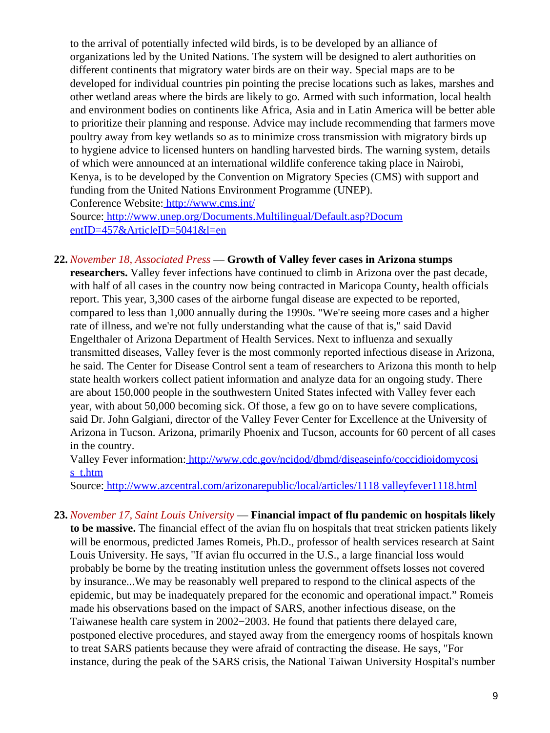to the arrival of potentially infected wild birds, is to be developed by an alliance of organizations led by the United Nations. The system will be designed to alert authorities on different continents that migratory water birds are on their way. Special maps are to be developed for individual countries pin pointing the precise locations such as lakes, marshes and other wetland areas where the birds are likely to go. Armed with such information, local health and environment bodies on continents like Africa, Asia and in Latin America will be better able to prioritize their planning and response. Advice may include recommending that farmers move poultry away from key wetlands so as to minimize cross transmission with migratory birds up to hygiene advice to licensed hunters on handling harvested birds. The warning system, details of which were announced at an international wildlife conference taking place in Nairobi, Kenya, is to be developed by the Convention on Migratory Species (CMS) with support and funding from the United Nations Environment Programme (UNEP). Conference Website:<http://www.cms.int/>

Source[: http://www.unep.org/Documents.Multilingual/Default.asp?Docum](http://www.unep.org/Documents.Multilingual/Default.asp?DocumentID=457&ArticleID=5041&l=en) [entID=457&ArticleID=5041&l=en](http://www.unep.org/Documents.Multilingual/Default.asp?DocumentID=457&ArticleID=5041&l=en)

#### **22.** *November 18, Associated Press* — **Growth of Valley fever cases in Arizona stumps**

**researchers.** Valley fever infections have continued to climb in Arizona over the past decade, with half of all cases in the country now being contracted in Maricopa County, health officials report. This year, 3,300 cases of the airborne fungal disease are expected to be reported, compared to less than 1,000 annually during the 1990s. "We're seeing more cases and a higher rate of illness, and we're not fully understanding what the cause of that is," said David Engelthaler of Arizona Department of Health Services. Next to influenza and sexually transmitted diseases, Valley fever is the most commonly reported infectious disease in Arizona, he said. The Center for Disease Control sent a team of researchers to Arizona this month to help state health workers collect patient information and analyze data for an ongoing study. There are about 150,000 people in the southwestern United States infected with Valley fever each year, with about 50,000 becoming sick. Of those, a few go on to have severe complications, said Dr. John Galgiani, director of the Valley Fever Center for Excellence at the University of Arizona in Tucson. Arizona, primarily Phoenix and Tucson, accounts for 60 percent of all cases in the country.

Valley Fever information[: http://www.cdc.gov/ncidod/dbmd/diseaseinfo/coccidioidomycosi](http://www.cdc.gov/ncidod/dbmd/diseaseinfo/coccidioidomycosis_t.htm) [s\\_t.htm](http://www.cdc.gov/ncidod/dbmd/diseaseinfo/coccidioidomycosis_t.htm)

Source[: http://www.azcentral.com/arizonarepublic/local/articles/1118 valleyfever1118.html](http://www.azcentral.com/arizonarepublic/local/articles/1118valleyfever1118.html)

**23.** *November 17, Saint Louis University* — **Financial impact of flu pandemic on hospitals likely to be massive.** The financial effect of the avian flu on hospitals that treat stricken patients likely will be enormous, predicted James Romeis, Ph.D., professor of health services research at Saint Louis University. He says, "If avian flu occurred in the U.S., a large financial loss would probably be borne by the treating institution unless the government offsets losses not covered by insurance...We may be reasonably well prepared to respond to the clinical aspects of the epidemic, but may be inadequately prepared for the economic and operational impact." Romeis made his observations based on the impact of SARS, another infectious disease, on the Taiwanese health care system in 2002−2003. He found that patients there delayed care, postponed elective procedures, and stayed away from the emergency rooms of hospitals known to treat SARS patients because they were afraid of contracting the disease. He says, "For instance, during the peak of the SARS crisis, the National Taiwan University Hospital's number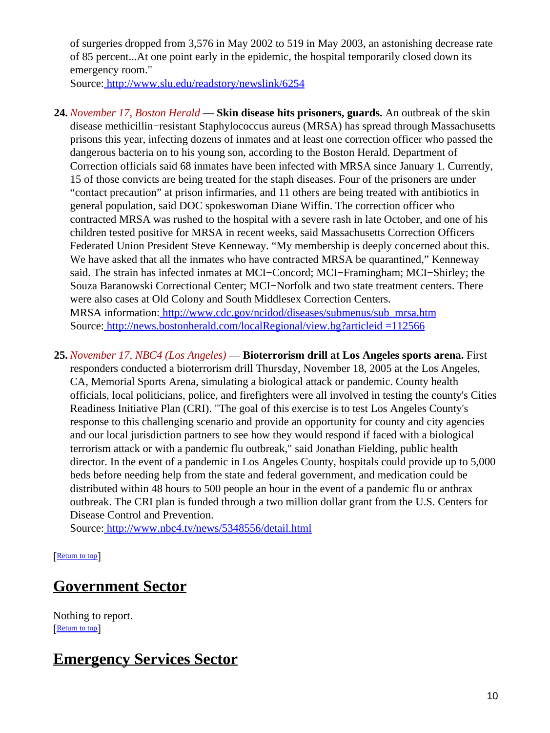of surgeries dropped from 3,576 in May 2002 to 519 in May 2003, an astonishing decrease rate of 85 percent...At one point early in the epidemic, the hospital temporarily closed down its emergency room."

Source[: http://www.slu.edu/readstory/newslink/6254](http://www.slu.edu/readstory/newslink/6254)

- **24.** *November 17, Boston Herald* — **Skin disease hits prisoners, guards.** An outbreak of the skin disease methicillin−resistant Staphylococcus aureus (MRSA) has spread through Massachusetts prisons this year, infecting dozens of inmates and at least one correction officer who passed the dangerous bacteria on to his young son, according to the Boston Herald. Department of Correction officials said 68 inmates have been infected with MRSA since January 1. Currently, 15 of those convicts are being treated for the staph diseases. Four of the prisoners are under "contact precaution" at prison infirmaries, and 11 others are being treated with antibiotics in general population, said DOC spokeswoman Diane Wiffin. The correction officer who contracted MRSA was rushed to the hospital with a severe rash in late October, and one of his children tested positive for MRSA in recent weeks, said Massachusetts Correction Officers Federated Union President Steve Kenneway. "My membership is deeply concerned about this. We have asked that all the inmates who have contracted MRSA be quarantined," Kenneway said. The strain has infected inmates at MCI−Concord; MCI−Framingham; MCI−Shirley; the Souza Baranowski Correctional Center; MCI−Norfolk and two state treatment centers. There were also cases at Old Colony and South Middlesex Correction Centers. MRSA information: [http://www.cdc.gov/ncidod/diseases/submenus/sub\\_mrsa.htm](http://www.cdc.gov/ncidod/diseases/submenus/sub_mrsa.htm) Source[: http://news.bostonherald.com/localRegional/view.bg?articleid =112566](http://news.bostonherald.com/localRegional/view.bg?articleid=112566)
- **25.** *November 17, NBC4 (Los Angeles)* — **Bioterrorism drill at Los Angeles sports arena.** First responders conducted a bioterrorism drill Thursday, November 18, 2005 at the Los Angeles, CA, Memorial Sports Arena, simulating a biological attack or pandemic. County health officials, local politicians, police, and firefighters were all involved in testing the county's Cities Readiness Initiative Plan (CRI). "The goal of this exercise is to test Los Angeles County's response to this challenging scenario and provide an opportunity for county and city agencies and our local jurisdiction partners to see how they would respond if faced with a biological terrorism attack or with a pandemic flu outbreak," said Jonathan Fielding, public health director. In the event of a pandemic in Los Angeles County, hospitals could provide up to 5,000 beds before needing help from the state and federal government, and medication could be distributed within 48 hours to 500 people an hour in the event of a pandemic flu or anthrax outbreak. The CRI plan is funded through a two million dollar grant from the U.S. Centers for Disease Control and Prevention.

Source[: http://www.nbc4.tv/news/5348556/detail.html](http://www.nbc4.tv/news/5348556/detail.html)

[[Return to top](#page-0-1)]

### <span id="page-9-0"></span>**Government Sector**

Nothing to report. [[Return to top](#page-0-1)]

# <span id="page-9-1"></span>**Emergency Services Sector**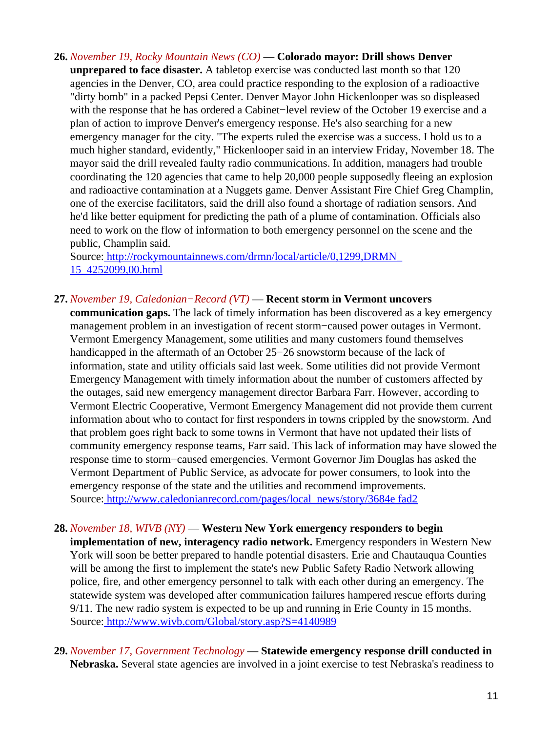- **26.** *November 19, Rocky Mountain News (CO)* — **Colorado mayor: Drill shows Denver**
	- **unprepared to face disaster.** A tabletop exercise was conducted last month so that 120 agencies in the Denver, CO, area could practice responding to the explosion of a radioactive "dirty bomb" in a packed Pepsi Center. Denver Mayor John Hickenlooper was so displeased with the response that he has ordered a Cabinet−level review of the October 19 exercise and a plan of action to improve Denver's emergency response. He's also searching for a new emergency manager for the city. "The experts ruled the exercise was a success. I hold us to a much higher standard, evidently," Hickenlooper said in an interview Friday, November 18. The mayor said the drill revealed faulty radio communications. In addition, managers had trouble coordinating the 120 agencies that came to help 20,000 people supposedly fleeing an explosion and radioactive contamination at a Nuggets game. Denver Assistant Fire Chief Greg Champlin, one of the exercise facilitators, said the drill also found a shortage of radiation sensors. And he'd like better equipment for predicting the path of a plume of contamination. Officials also need to work on the flow of information to both emergency personnel on the scene and the public, Champlin said.

Source[: http://rockymountainnews.com/drmn/local/article/0,1299,DRMN\\_](http://rockymountainnews.com/drmn/local/article/0,1299,DRMN_15_4252099,00.html) [15\\_4252099,00.html](http://rockymountainnews.com/drmn/local/article/0,1299,DRMN_15_4252099,00.html)

#### **27.** *November 19, Caledonian−Record (VT)* — **Recent storm in Vermont uncovers**

**communication gaps.** The lack of timely information has been discovered as a key emergency management problem in an investigation of recent storm−caused power outages in Vermont. Vermont Emergency Management, some utilities and many customers found themselves handicapped in the aftermath of an October 25−26 snowstorm because of the lack of information, state and utility officials said last week. Some utilities did not provide Vermont Emergency Management with timely information about the number of customers affected by the outages, said new emergency management director Barbara Farr. However, according to Vermont Electric Cooperative, Vermont Emergency Management did not provide them current information about who to contact for first responders in towns crippled by the snowstorm. And that problem goes right back to some towns in Vermont that have not updated their lists of community emergency response teams, Farr said. This lack of information may have slowed the response time to storm−caused emergencies. Vermont Governor Jim Douglas has asked the Vermont Department of Public Service, as advocate for power consumers, to look into the emergency response of the state and the utilities and recommend improvements. Source[: http://www.caledonianrecord.com/pages/local\\_news/story/3684e fad2](http://www.caledonianrecord.com/pages/local_news/story/3684efad2)

#### **28.** *November 18, WIVB (NY)* — **Western New York emergency responders to begin**

**implementation of new, interagency radio network.** Emergency responders in Western New York will soon be better prepared to handle potential disasters. Erie and Chautauqua Counties will be among the first to implement the state's new Public Safety Radio Network allowing police, fire, and other emergency personnel to talk with each other during an emergency. The statewide system was developed after communication failures hampered rescue efforts during 9/11. The new radio system is expected to be up and running in Erie County in 15 months. Source[: http://www.wivb.com/Global/story.asp?S=4140989](http://www.wivb.com/Global/story.asp?S=4140989)

**29.** *November 17, Government Technology* — **Statewide emergency response drill conducted in Nebraska.** Several state agencies are involved in a joint exercise to test Nebraska's readiness to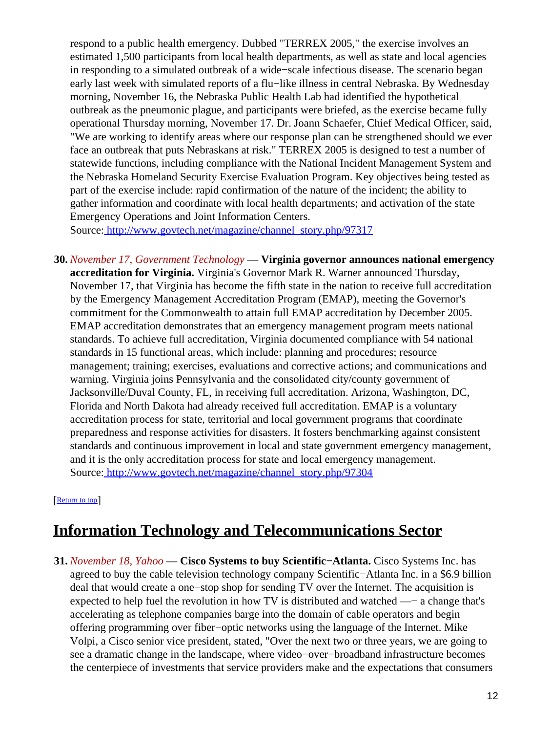respond to a public health emergency. Dubbed "TERREX 2005," the exercise involves an estimated 1,500 participants from local health departments, as well as state and local agencies in responding to a simulated outbreak of a wide−scale infectious disease. The scenario began early last week with simulated reports of a flu−like illness in central Nebraska. By Wednesday morning, November 16, the Nebraska Public Health Lab had identified the hypothetical outbreak as the pneumonic plague, and participants were briefed, as the exercise became fully operational Thursday morning, November 17. Dr. Joann Schaefer, Chief Medical Officer, said, "We are working to identify areas where our response plan can be strengthened should we ever face an outbreak that puts Nebraskans at risk." TERREX 2005 is designed to test a number of statewide functions, including compliance with the National Incident Management System and the Nebraska Homeland Security Exercise Evaluation Program. Key objectives being tested as part of the exercise include: rapid confirmation of the nature of the incident; the ability to gather information and coordinate with local health departments; and activation of the state Emergency Operations and Joint Information Centers.

Source[: http://www.govtech.net/magazine/channel\\_story.php/97317](http://www.govtech.net/magazine/channel_story.php/97317)

**30.** *November 17, Government Technology* — **Virginia governor announces national emergency accreditation for Virginia.** Virginia's Governor Mark R. Warner announced Thursday, November 17, that Virginia has become the fifth state in the nation to receive full accreditation by the Emergency Management Accreditation Program (EMAP), meeting the Governor's commitment for the Commonwealth to attain full EMAP accreditation by December 2005. EMAP accreditation demonstrates that an emergency management program meets national standards. To achieve full accreditation, Virginia documented compliance with 54 national standards in 15 functional areas, which include: planning and procedures; resource management; training; exercises, evaluations and corrective actions; and communications and warning. Virginia joins Pennsylvania and the consolidated city/county government of Jacksonville/Duval County, FL, in receiving full accreditation. Arizona, Washington, DC, Florida and North Dakota had already received full accreditation. EMAP is a voluntary accreditation process for state, territorial and local government programs that coordinate preparedness and response activities for disasters. It fosters benchmarking against consistent standards and continuous improvement in local and state government emergency management, and it is the only accreditation process for state and local emergency management. Source[: http://www.govtech.net/magazine/channel\\_story.php/97304](http://www.govtech.net/magazine/channel_story.php/97304)

[[Return to top](#page-0-1)]

# <span id="page-11-0"></span>**Information Technology and Telecommunications Sector**

**31.** *November 18, Yahoo* — **Cisco Systems to buy Scientific−Atlanta.** Cisco Systems Inc. has agreed to buy the cable television technology company Scientific−Atlanta Inc. in a \$6.9 billion deal that would create a one−stop shop for sending TV over the Internet. The acquisition is expected to help fuel the revolution in how TV is distributed and watched —− a change that's accelerating as telephone companies barge into the domain of cable operators and begin offering programming over fiber−optic networks using the language of the Internet. Mike Volpi, a Cisco senior vice president, stated, "Over the next two or three years, we are going to see a dramatic change in the landscape, where video−over−broadband infrastructure becomes the centerpiece of investments that service providers make and the expectations that consumers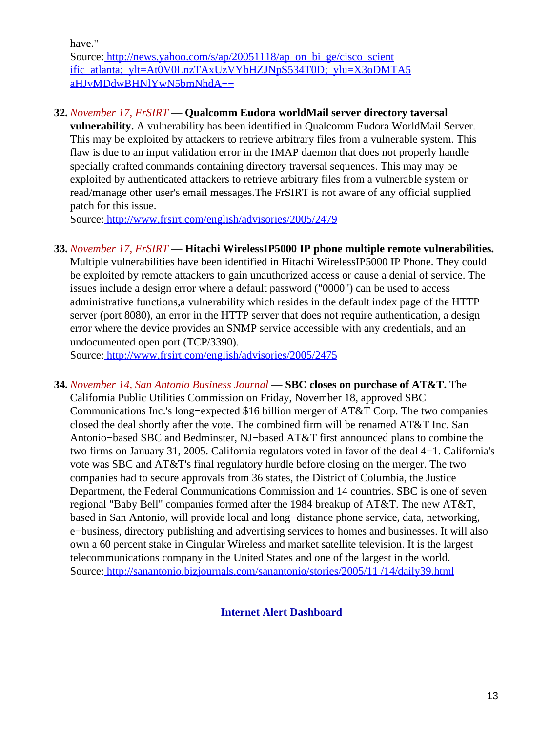have."

Source[: http://news.yahoo.com/s/ap/20051118/ap\\_on\\_bi\\_ge/cisco\\_scient](http://news.yahoo.com/s/ap/20051118/ap_on_bi_ge/cisco_scientific_atlanta;_ylt=At0V0LnzTAxUzVYbHZJNpS534T0D;_ylu=X3oDMTA5aHJvMDdwBHNlYwN5bmNhdA--) [ific\\_atlanta;\\_ylt=At0V0LnzTAxUzVYbHZJNpS534T0D;\\_ylu=X3oDMTA5](http://news.yahoo.com/s/ap/20051118/ap_on_bi_ge/cisco_scientific_atlanta;_ylt=At0V0LnzTAxUzVYbHZJNpS534T0D;_ylu=X3oDMTA5aHJvMDdwBHNlYwN5bmNhdA--) [aHJvMDdwBHNlYwN5bmNhdA−−](http://news.yahoo.com/s/ap/20051118/ap_on_bi_ge/cisco_scientific_atlanta;_ylt=At0V0LnzTAxUzVYbHZJNpS534T0D;_ylu=X3oDMTA5aHJvMDdwBHNlYwN5bmNhdA--)

#### **32.** *November 17, FrSIRT* — **Qualcomm Eudora worldMail server directory taversal**

**vulnerability.** A vulnerability has been identified in Qualcomm Eudora WorldMail Server. This may be exploited by attackers to retrieve arbitrary files from a vulnerable system. This flaw is due to an input validation error in the IMAP daemon that does not properly handle specially crafted commands containing directory traversal sequences. This may may be exploited by authenticated attackers to retrieve arbitrary files from a vulnerable system or read/manage other user's email messages.The FrSIRT is not aware of any official supplied patch for this issue.

Source[: http://www.frsirt.com/english/advisories/2005/2479](http://www.frsirt.com/english/advisories/2005/2479)

**33.** *November 17, FrSIRT* — **Hitachi WirelessIP5000 IP phone multiple remote vulnerabilities.** Multiple vulnerabilities have been identified in Hitachi WirelessIP5000 IP Phone. They could be exploited by remote attackers to gain unauthorized access or cause a denial of service. The issues include a design error where a default password ("0000") can be used to access administrative functions,a vulnerability which resides in the default index page of the HTTP server (port 8080), an error in the HTTP server that does not require authentication, a design error where the device provides an SNMP service accessible with any credentials, and an undocumented open port (TCP/3390).

Source[: http://www.frsirt.com/english/advisories/2005/2475](http://www.frsirt.com/english/advisories/2005/2475)

**34.** *November 14, San Antonio Business Journal* — **SBC closes on purchase of AT&T.** The California Public Utilities Commission on Friday, November 18, approved SBC Communications Inc.'s long−expected \$16 billion merger of AT&T Corp. The two companies closed the deal shortly after the vote. The combined firm will be renamed AT&T Inc. San Antonio−based SBC and Bedminster, NJ−based AT&T first announced plans to combine the two firms on January 31, 2005. California regulators voted in favor of the deal 4−1. California's vote was SBC and AT&T's final regulatory hurdle before closing on the merger. The two companies had to secure approvals from 36 states, the District of Columbia, the Justice Department, the Federal Communications Commission and 14 countries. SBC is one of seven regional "Baby Bell" companies formed after the 1984 breakup of AT&T. The new AT&T, based in San Antonio, will provide local and long−distance phone service, data, networking, e−business, directory publishing and advertising services to homes and businesses. It will also own a 60 percent stake in Cingular Wireless and market satellite television. It is the largest telecommunications company in the United States and one of the largest in the world. Source[: http://sanantonio.bizjournals.com/sanantonio/stories/2005/11 /14/daily39.html](http://sanantonio.bizjournals.com/sanantonio/stories/2005/11/14/daily39.html)

<span id="page-12-0"></span>**Internet Alert Dashboard**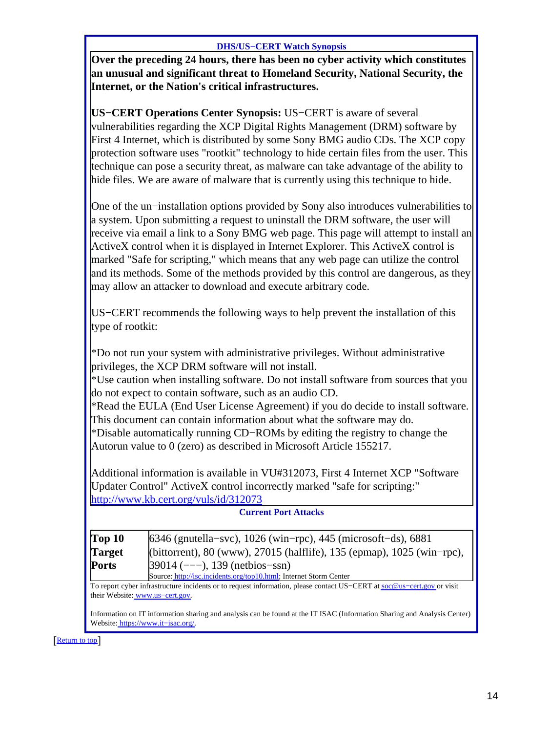#### **DHS/US−CERT Watch Synopsis**

**Over the preceding 24 hours, there has been no cyber activity which constitutes an unusual and significant threat to Homeland Security, National Security, the Internet, or the Nation's critical infrastructures.**

**US−CERT Operations Center Synopsis:** US−CERT is aware of several vulnerabilities regarding the XCP Digital Rights Management (DRM) software by First 4 Internet, which is distributed by some Sony BMG audio CDs. The XCP copy protection software uses "rootkit" technology to hide certain files from the user. This technique can pose a security threat, as malware can take advantage of the ability to hide files. We are aware of malware that is currently using this technique to hide.

One of the un−installation options provided by Sony also introduces vulnerabilities to a system. Upon submitting a request to uninstall the DRM software, the user will receive via email a link to a Sony BMG web page. This page will attempt to install an ActiveX control when it is displayed in Internet Explorer. This ActiveX control is marked "Safe for scripting," which means that any web page can utilize the control and its methods. Some of the methods provided by this control are dangerous, as they may allow an attacker to download and execute arbitrary code.

US−CERT recommends the following ways to help prevent the installation of this type of rootkit:

\*Do not run your system with administrative privileges. Without administrative privileges, the XCP DRM software will not install.

\*Use caution when installing software. Do not install software from sources that you do not expect to contain software, such as an audio CD.

\*Read the EULA (End User License Agreement) if you do decide to install software. This document can contain information about what the software may do.

\*Disable automatically running CD−ROMs by editing the registry to change the Autorun value to 0 (zero) as described in Microsoft Article 155217.

Additional information is available in VU#312073, First 4 Internet XCP "Software Updater Control" ActiveX control incorrectly marked "safe for scripting:" <http://www.kb.cert.org/vuls/id/312073>

| <b>Current Port Attacks</b> |                                                                        |  |
|-----------------------------|------------------------------------------------------------------------|--|
| Top 10                      | $6346$ (gnutella–svc), 1026 (win–rpc), 445 (microsoft–ds), 6881        |  |
| Target                      | (bittorrent), 80 (www), 27015 (halflife), 135 (epmap), 1025 (win-rpc), |  |
| Ports                       | $39014$ (---), 139 (netbios-ssn)                                       |  |
|                             | Source: http://isc.incidents.org/top10.html; Internet Storm Center     |  |

**Current Port Attacks**

To report cyber infrastructure incidents or to request information, please contact US−CERT at [soc@us−cert.gov](mailto:soc@us-cert.gov) or visit their Website: [www.us−cert.gov.](http://www.us-cert.gov/)

Information on IT information sharing and analysis can be found at the IT ISAC (Information Sharing and Analysis Center) Website: [https://www.it−isac.org/.](https://www.it-isac.org/)

[[Return to top](#page-0-1)]